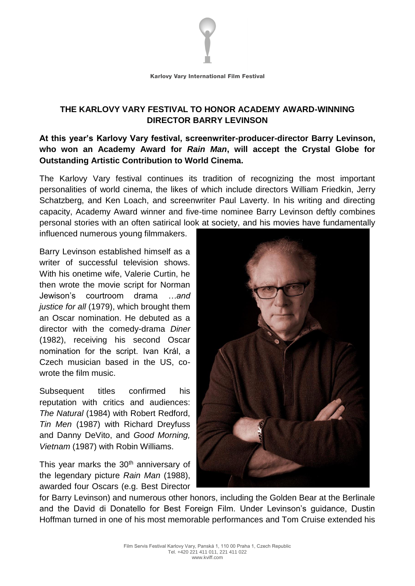

# **THE KARLOVY VARY FESTIVAL TO HONOR ACADEMY AWARD-WINNING DIRECTOR BARRY LEVINSON**

## **At this year's Karlovy Vary festival, screenwriter-producer-director Barry Levinson, who won an Academy Award for** *Rain Man***, will accept the Crystal Globe for Outstanding Artistic Contribution to World Cinema.**

The Karlovy Vary festival continues its tradition of recognizing the most important personalities of world cinema, the likes of which include directors William Friedkin, Jerry Schatzberg, and Ken Loach, and screenwriter Paul Laverty. In his writing and directing capacity, Academy Award winner and five-time nominee Barry Levinson deftly combines personal stories with an often satirical look at society, and his movies have fundamentally

influenced numerous young filmmakers.

Barry Levinson established himself as a writer of successful television shows. With his onetime wife, Valerie Curtin, he then wrote the movie script for Norman Jewison's courtroom drama *…and justice for all* (1979), which brought them an Oscar nomination. He debuted as a director with the comedy-drama *Diner* (1982), receiving his second Oscar nomination for the script. Ivan Král, a Czech musician based in the US, cowrote the film music.

Subsequent titles confirmed his reputation with critics and audiences: *The Natural* (1984) with Robert Redford, *Tin Men* (1987) with Richard Dreyfuss and Danny DeVito, and *Good Morning, Vietnam* (1987) with Robin Williams.

This year marks the 30<sup>th</sup> anniversary of the legendary picture *Rain Man* (1988), awarded four Oscars (e.g. Best Director



for Barry Levinson) and numerous other honors, including the Golden Bear at the Berlinale and the David di Donatello for Best Foreign Film. Under Levinson's guidance, Dustin Hoffman turned in one of his most memorable performances and Tom Cruise extended his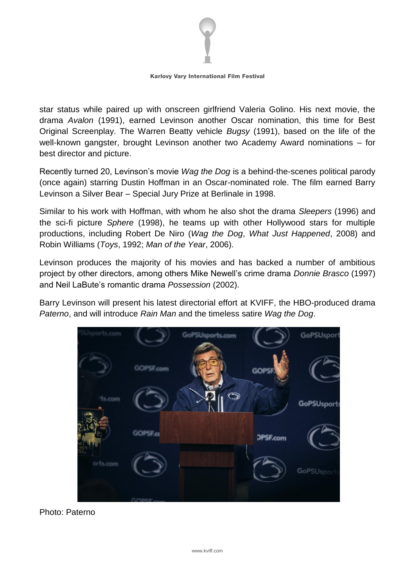

#### **Karlovy Vary International Film Festival**

star status while paired up with onscreen girlfriend Valeria Golino. His next movie, the drama *Avalon* (1991), earned Levinson another Oscar nomination, this time for Best Original Screenplay. The Warren Beatty vehicle *Bugsy* (1991), based on the life of the well-known gangster, brought Levinson another two Academy Award nominations – for best director and picture.

Recently turned 20, Levinson's movie *Wag the Dog* is a behind-the-scenes political parody (once again) starring Dustin Hoffman in an Oscar-nominated role. The film earned Barry Levinson a Silver Bear – Special Jury Prize at Berlinale in 1998.

Similar to his work with Hoffman, with whom he also shot the drama *Sleepers* (1996) and the sci-fi picture *Sphere* (1998), he teams up with other Hollywood stars for multiple productions, including Robert De Niro (*Wag the Dog*, *What Just Happened*, 2008) and Robin Williams (*Toys*, 1992; *Man of the Year*, 2006).

Levinson produces the majority of his movies and has backed a number of ambitious project by other directors, among others Mike Newell's crime drama *Donnie Brasco* (1997) and Neil LaBute's romantic drama *Possession* (2002).

Barry Levinson will present his latest directorial effort at KVIFF, the HBO-produced drama *Paterno*, and will introduce *Rain Man* and the timeless satire *Wag the Dog*.



Photo: Paterno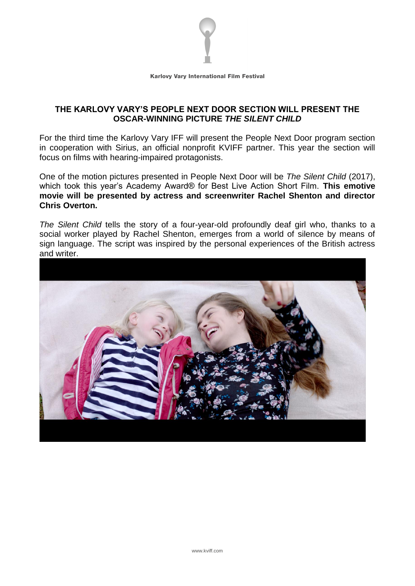

**Karlovy Vary International Film Festival** 

## **THE KARLOVY VARY'S PEOPLE NEXT DOOR SECTION WILL PRESENT THE OSCAR-WINNING PICTURE** *THE SILENT CHILD*

For the third time the Karlovy Vary IFF will present the People Next Door program section in cooperation with Sirius, an official nonprofit KVIFF partner. This year the section will focus on films with hearing-impaired protagonists.

One of the motion pictures presented in People Next Door will be *The Silent Child* (2017), which took this year's Academy Award® for Best Live Action Short Film. **This emotive movie will be presented by actress and screenwriter Rachel Shenton and director Chris Overton.**

*The Silent Child* tells the story of a four-year-old profoundly deaf girl who, thanks to a social worker played by Rachel Shenton, emerges from a world of silence by means of sign language. The script was inspired by the personal experiences of the British actress and writer.